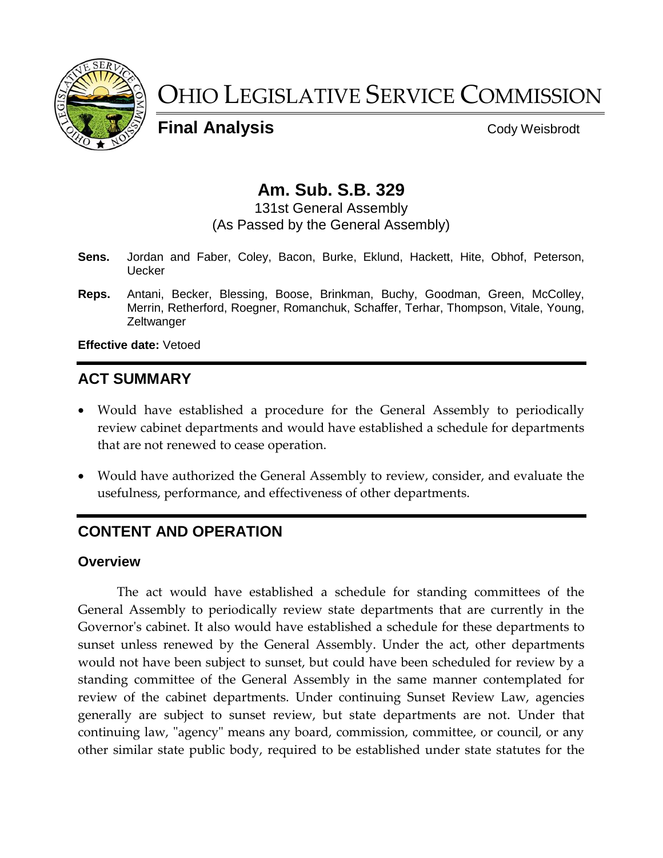

# OHIO LEGISLATIVE SERVICE COMMISSION

**Final Analysis** Cody Weisbrodt

# **Am. Sub. S.B. 329**

131st General Assembly (As Passed by the General Assembly)

- **Sens.** Jordan and Faber, Coley, Bacon, Burke, Eklund, Hackett, Hite, Obhof, Peterson, **Uecker**
- **Reps.** Antani, Becker, Blessing, Boose, Brinkman, Buchy, Goodman, Green, McColley, Merrin, Retherford, Roegner, Romanchuk, Schaffer, Terhar, Thompson, Vitale, Young, **Zeltwanger**

**Effective date:** Vetoed

# **ACT SUMMARY**

- Would have established a procedure for the General Assembly to periodically review cabinet departments and would have established a schedule for departments that are not renewed to cease operation.
- Would have authorized the General Assembly to review, consider, and evaluate the usefulness, performance, and effectiveness of other departments.

# **CONTENT AND OPERATION**

#### **Overview**

The act would have established a schedule for standing committees of the General Assembly to periodically review state departments that are currently in the Governor's cabinet. It also would have established a schedule for these departments to sunset unless renewed by the General Assembly. Under the act, other departments would not have been subject to sunset, but could have been scheduled for review by a standing committee of the General Assembly in the same manner contemplated for review of the cabinet departments. Under continuing Sunset Review Law, agencies generally are subject to sunset review, but state departments are not. Under that continuing law, "agency" means any board, commission, committee, or council, or any other similar state public body, required to be established under state statutes for the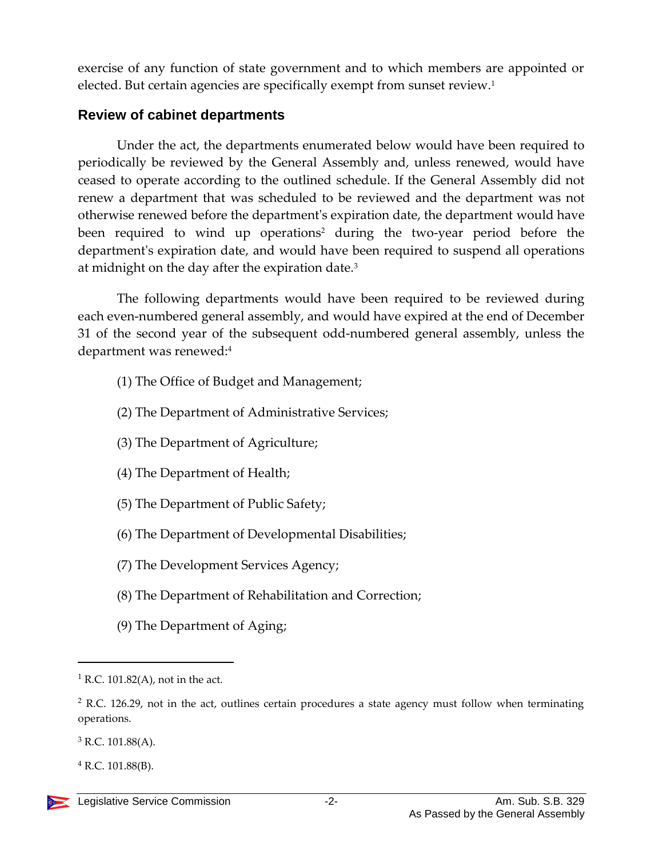exercise of any function of state government and to which members are appointed or elected. But certain agencies are specifically exempt from sunset review. 1

### **Review of cabinet departments**

Under the act, the departments enumerated below would have been required to periodically be reviewed by the General Assembly and, unless renewed, would have ceased to operate according to the outlined schedule. If the General Assembly did not renew a department that was scheduled to be reviewed and the department was not otherwise renewed before the department's expiration date, the department would have been required to wind up operations<sup>2</sup> during the two-year period before the department's expiration date, and would have been required to suspend all operations at midnight on the day after the expiration date.<sup>3</sup>

The following departments would have been required to be reviewed during each even-numbered general assembly, and would have expired at the end of December 31 of the second year of the subsequent odd-numbered general assembly, unless the department was renewed:<sup>4</sup>

- (1) The Office of Budget and Management;
- (2) The Department of Administrative Services;
- (3) The Department of Agriculture;
- (4) The Department of Health;
- (5) The Department of Public Safety;
- (6) The Department of Developmental Disabilities;
- (7) The Development Services Agency;
- (8) The Department of Rehabilitation and Correction;
- (9) The Department of Aging;

 $1 R.C. 101.82(A)$ , not in the act.

 $2$  R.C. 126.29, not in the act, outlines certain procedures a state agency must follow when terminating operations.

 $3$  R.C. 101.88(A).

 $^{4}$  R.C. 101.88(B).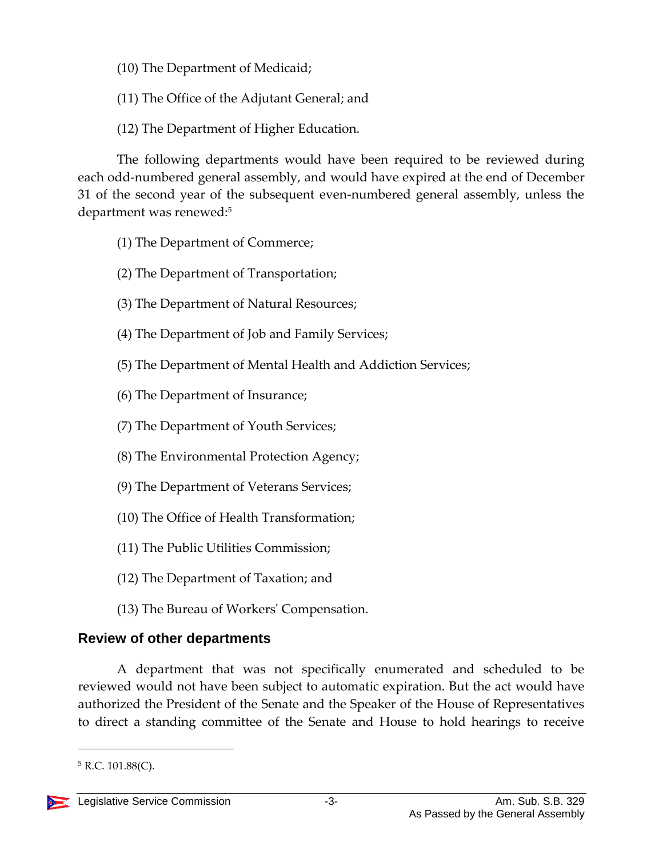- (10) The Department of Medicaid;
- (11) The Office of the Adjutant General; and
- (12) The Department of Higher Education.

The following departments would have been required to be reviewed during each odd-numbered general assembly, and would have expired at the end of December 31 of the second year of the subsequent even-numbered general assembly, unless the department was renewed:<sup>5</sup>

- (1) The Department of Commerce;
- (2) The Department of Transportation;
- (3) The Department of Natural Resources;
- (4) The Department of Job and Family Services;
- (5) The Department of Mental Health and Addiction Services;
- (6) The Department of Insurance;
- (7) The Department of Youth Services;
- (8) The Environmental Protection Agency;
- (9) The Department of Veterans Services;
- (10) The Office of Health Transformation;
- (11) The Public Utilities Commission;
- (12) The Department of Taxation; and
- (13) The Bureau of Workers' Compensation.

# **Review of other departments**

A department that was not specifically enumerated and scheduled to be reviewed would not have been subject to automatic expiration. But the act would have authorized the President of the Senate and the Speaker of the House of Representatives to direct a standing committee of the Senate and House to hold hearings to receive

 $5$  R.C. 101.88(C).

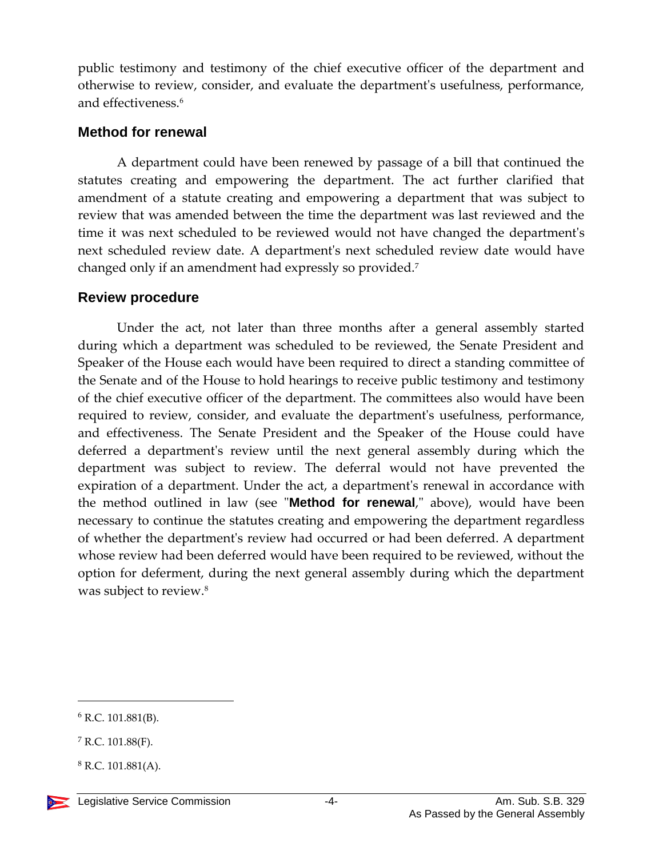public testimony and testimony of the chief executive officer of the department and otherwise to review, consider, and evaluate the department's usefulness, performance, and effectiveness.<sup>6</sup>

#### **Method for renewal**

A department could have been renewed by passage of a bill that continued the statutes creating and empowering the department. The act further clarified that amendment of a statute creating and empowering a department that was subject to review that was amended between the time the department was last reviewed and the time it was next scheduled to be reviewed would not have changed the department's next scheduled review date. A department's next scheduled review date would have changed only if an amendment had expressly so provided. 7

#### **Review procedure**

Under the act, not later than three months after a general assembly started during which a department was scheduled to be reviewed, the Senate President and Speaker of the House each would have been required to direct a standing committee of the Senate and of the House to hold hearings to receive public testimony and testimony of the chief executive officer of the department. The committees also would have been required to review, consider, and evaluate the department's usefulness, performance, and effectiveness. The Senate President and the Speaker of the House could have deferred a department's review until the next general assembly during which the department was subject to review. The deferral would not have prevented the expiration of a department. Under the act, a department's renewal in accordance with the method outlined in law (see "**Method for renewal**," above), would have been necessary to continue the statutes creating and empowering the department regardless of whether the department's review had occurred or had been deferred. A department whose review had been deferred would have been required to be reviewed, without the option for deferment, during the next general assembly during which the department was subject to review.<sup>8</sup>

 $6$  R.C. 101.881(B).

 $7$  R.C. 101.88(F).

 $8$  R.C. 101.881(A).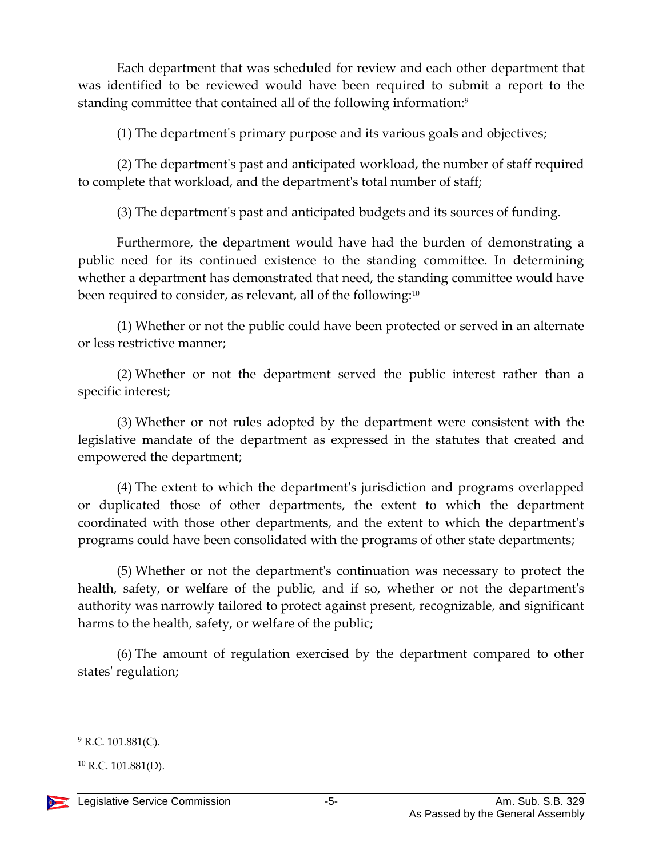Each department that was scheduled for review and each other department that was identified to be reviewed would have been required to submit a report to the standing committee that contained all of the following information:<sup>9</sup>

(1) The department's primary purpose and its various goals and objectives;

(2) The department's past and anticipated workload, the number of staff required to complete that workload, and the department's total number of staff;

(3) The department's past and anticipated budgets and its sources of funding.

Furthermore, the department would have had the burden of demonstrating a public need for its continued existence to the standing committee. In determining whether a department has demonstrated that need, the standing committee would have been required to consider, as relevant, all of the following:<sup>10</sup>

(1) Whether or not the public could have been protected or served in an alternate or less restrictive manner;

(2) Whether or not the department served the public interest rather than a specific interest;

(3) Whether or not rules adopted by the department were consistent with the legislative mandate of the department as expressed in the statutes that created and empowered the department;

(4) The extent to which the department's jurisdiction and programs overlapped or duplicated those of other departments, the extent to which the department coordinated with those other departments, and the extent to which the department's programs could have been consolidated with the programs of other state departments;

(5) Whether or not the department's continuation was necessary to protect the health, safety, or welfare of the public, and if so, whether or not the department's authority was narrowly tailored to protect against present, recognizable, and significant harms to the health, safety, or welfare of the public;

(6) The amount of regulation exercised by the department compared to other states' regulation;

 $^{10}$  R.C. 101.881(D).



 $9$  R.C. 101.881(C).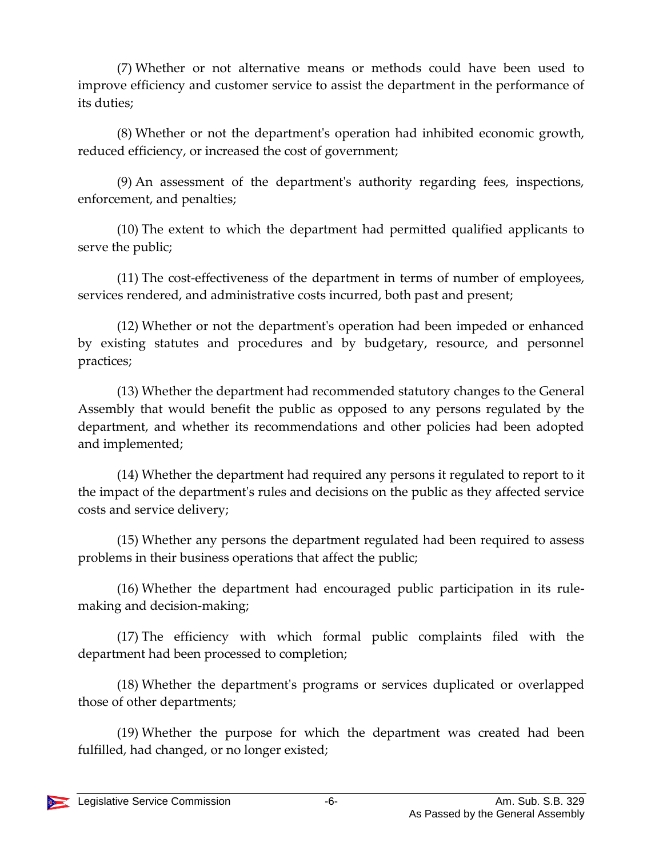(7) Whether or not alternative means or methods could have been used to improve efficiency and customer service to assist the department in the performance of its duties;

(8) Whether or not the department's operation had inhibited economic growth, reduced efficiency, or increased the cost of government;

(9) An assessment of the department's authority regarding fees, inspections, enforcement, and penalties;

(10) The extent to which the department had permitted qualified applicants to serve the public;

(11) The cost-effectiveness of the department in terms of number of employees, services rendered, and administrative costs incurred, both past and present;

(12) Whether or not the department's operation had been impeded or enhanced by existing statutes and procedures and by budgetary, resource, and personnel practices;

(13) Whether the department had recommended statutory changes to the General Assembly that would benefit the public as opposed to any persons regulated by the department, and whether its recommendations and other policies had been adopted and implemented;

(14) Whether the department had required any persons it regulated to report to it the impact of the department's rules and decisions on the public as they affected service costs and service delivery;

(15) Whether any persons the department regulated had been required to assess problems in their business operations that affect the public;

(16) Whether the department had encouraged public participation in its rulemaking and decision-making;

(17) The efficiency with which formal public complaints filed with the department had been processed to completion;

(18) Whether the department's programs or services duplicated or overlapped those of other departments;

(19) Whether the purpose for which the department was created had been fulfilled, had changed, or no longer existed;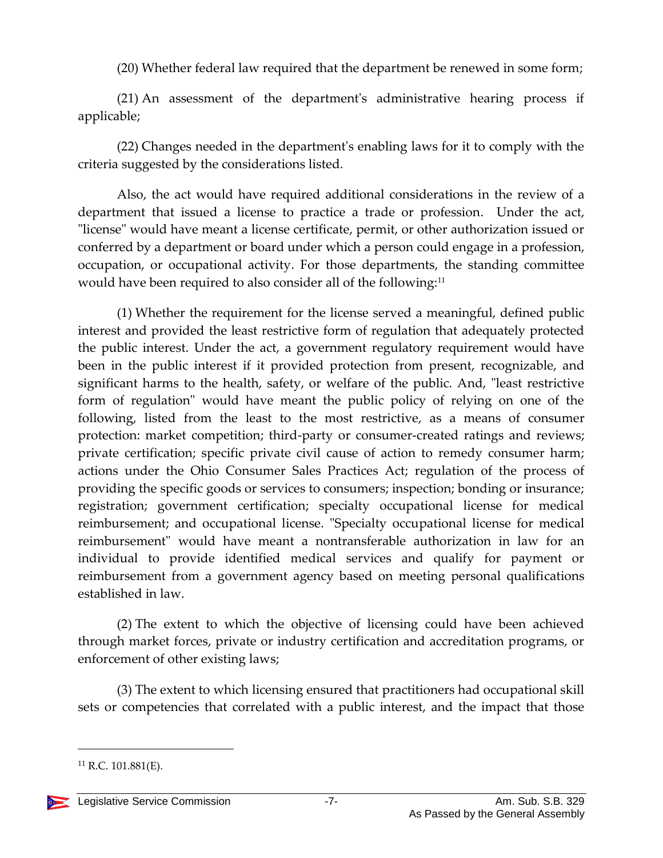(20) Whether federal law required that the department be renewed in some form;

(21) An assessment of the department's administrative hearing process if applicable;

(22) Changes needed in the department's enabling laws for it to comply with the criteria suggested by the considerations listed.

Also, the act would have required additional considerations in the review of a department that issued a license to practice a trade or profession. Under the act, "license" would have meant a license certificate, permit, or other authorization issued or conferred by a department or board under which a person could engage in a profession, occupation, or occupational activity. For those departments, the standing committee would have been required to also consider all of the following:<sup>11</sup>

(1) Whether the requirement for the license served a meaningful, defined public interest and provided the least restrictive form of regulation that adequately protected the public interest. Under the act, a government regulatory requirement would have been in the public interest if it provided protection from present, recognizable, and significant harms to the health, safety, or welfare of the public. And, "least restrictive form of regulation" would have meant the public policy of relying on one of the following, listed from the least to the most restrictive, as a means of consumer protection: market competition; third-party or consumer-created ratings and reviews; private certification; specific private civil cause of action to remedy consumer harm; actions under the Ohio Consumer Sales Practices Act; regulation of the process of providing the specific goods or services to consumers; inspection; bonding or insurance; registration; government certification; specialty occupational license for medical reimbursement; and occupational license. "Specialty occupational license for medical reimbursement" would have meant a nontransferable authorization in law for an individual to provide identified medical services and qualify for payment or reimbursement from a government agency based on meeting personal qualifications established in law.

(2) The extent to which the objective of licensing could have been achieved through market forces, private or industry certification and accreditation programs, or enforcement of other existing laws;

(3) The extent to which licensing ensured that practitioners had occupational skill sets or competencies that correlated with a public interest, and the impact that those

 $^{11}$  R.C. 101.881(E).

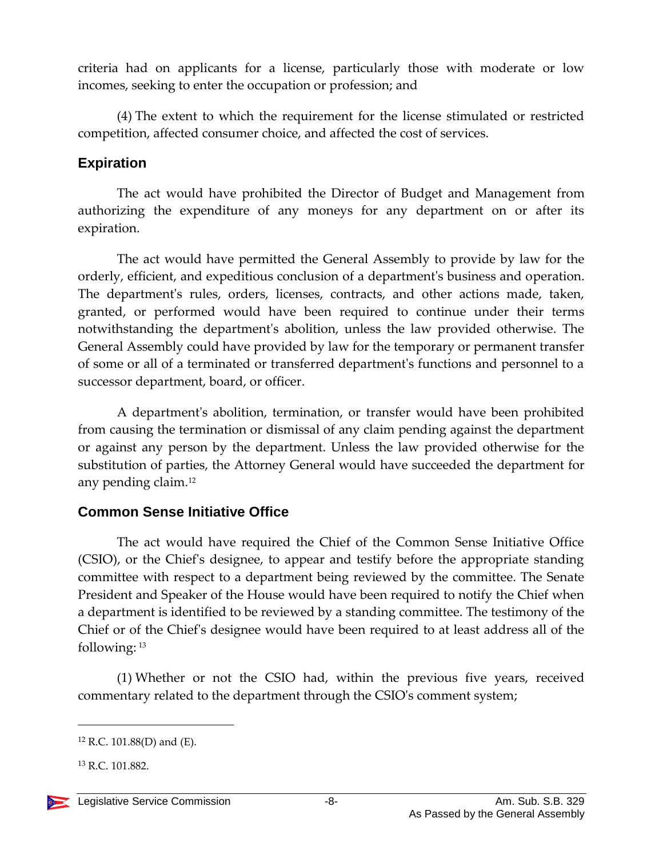criteria had on applicants for a license, particularly those with moderate or low incomes, seeking to enter the occupation or profession; and

(4) The extent to which the requirement for the license stimulated or restricted competition, affected consumer choice, and affected the cost of services.

### **Expiration**

The act would have prohibited the Director of Budget and Management from authorizing the expenditure of any moneys for any department on or after its expiration.

The act would have permitted the General Assembly to provide by law for the orderly, efficient, and expeditious conclusion of a department's business and operation. The department's rules, orders, licenses, contracts, and other actions made, taken, granted, or performed would have been required to continue under their terms notwithstanding the department's abolition, unless the law provided otherwise. The General Assembly could have provided by law for the temporary or permanent transfer of some or all of a terminated or transferred department's functions and personnel to a successor department, board, or officer.

A department's abolition, termination, or transfer would have been prohibited from causing the termination or dismissal of any claim pending against the department or against any person by the department. Unless the law provided otherwise for the substitution of parties, the Attorney General would have succeeded the department for any pending claim.<sup>12</sup>

## **Common Sense Initiative Office**

The act would have required the Chief of the Common Sense Initiative Office (CSIO), or the Chief's designee, to appear and testify before the appropriate standing committee with respect to a department being reviewed by the committee. The Senate President and Speaker of the House would have been required to notify the Chief when a department is identified to be reviewed by a standing committee. The testimony of the Chief or of the Chief's designee would have been required to at least address all of the following: <sup>13</sup>

(1) Whether or not the CSIO had, within the previous five years, received commentary related to the department through the CSIO's comment system;

 $12$  R.C. 101.88(D) and (E).

<sup>13</sup> R.C. 101.882.